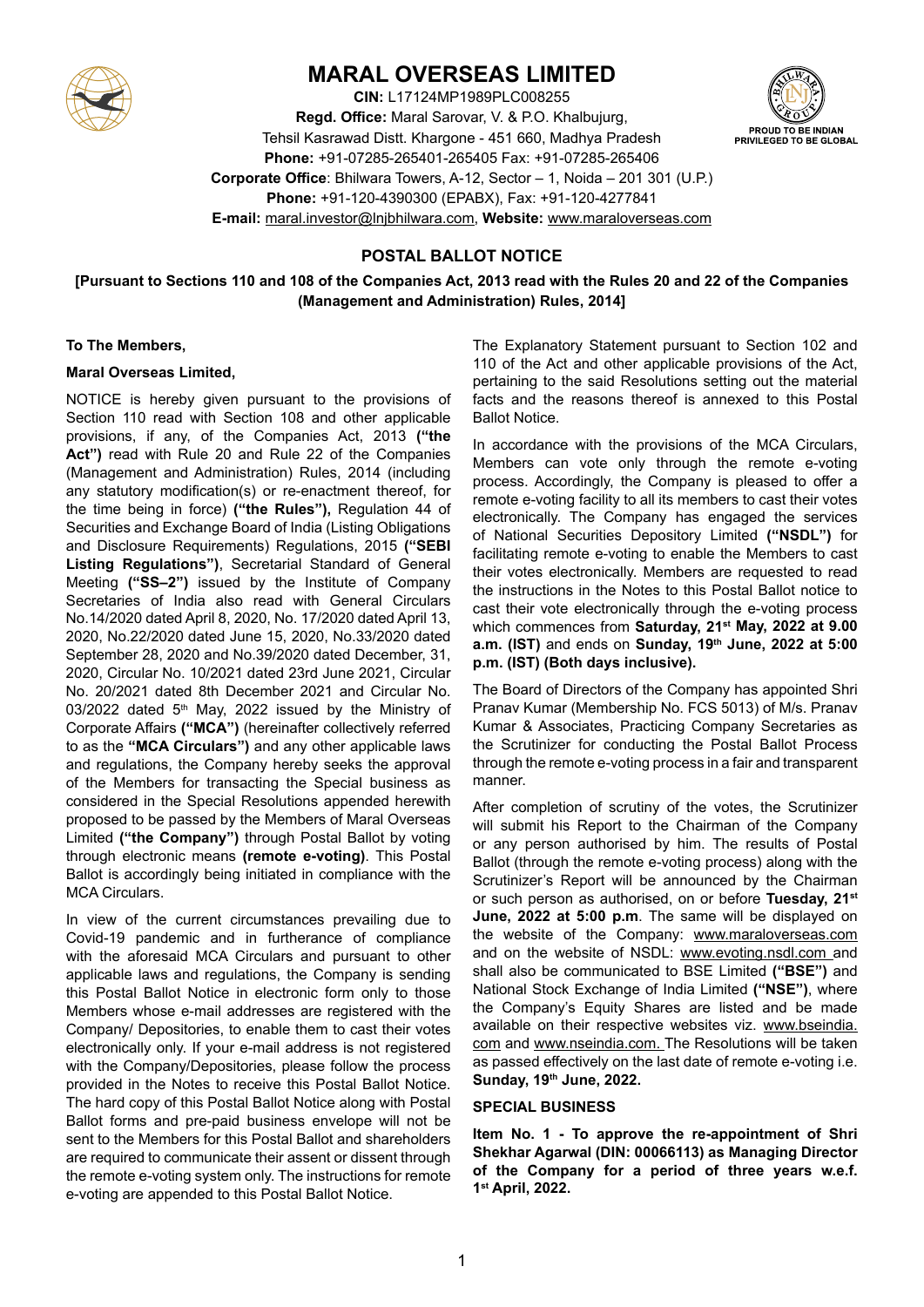

# **MARAL OVERSEAS LIMITED**

**CIN:** L17124MP1989PLC008255 **Regd. Office:** Maral Sarovar, V. & P.O. Khalbujurg, Tehsil Kasrawad Distt. Khargone - 451 660, Madhya Pradesh **Phone:** +91-07285-265401-265405 Fax: +91-07285-265406 **Corporate Office**: Bhilwara Towers, A-12, Sector – 1, Noida – 201 301 (U.P.) **Phone:** +91-120-4390300 (EPABX), Fax: +91-120-4277841 **E-mail:** maral.investor@lnjbhilwara.com, **Website:** www.maraloverseas.com

# **POSTAL BALLOT NOTICE**

**[Pursuant to Sections 110 and 108 of the Companies Act, 2013 read with the Rules 20 and 22 of the Companies (Management and Administration) Rules, 2014]**

#### **To The Members,**

### **Maral Overseas Limited,**

NOTICE is hereby given pursuant to the provisions of Section 110 read with Section 108 and other applicable provisions, if any, of the Companies Act, 2013 **("the Act")** read with Rule 20 and Rule 22 of the Companies (Management and Administration) Rules, 2014 (including any statutory modification(s) or re-enactment thereof, for the time being in force) **("the Rules"),** Regulation 44 of Securities and Exchange Board of India (Listing Obligations and Disclosure Requirements) Regulations, 2015 **("SEBI Listing Regulations")**, Secretarial Standard of General Meeting **("SS–2")** issued by the Institute of Company Secretaries of India also read with General Circulars No.14/2020 dated April 8, 2020, No. 17/2020 dated April 13, 2020, No.22/2020 dated June 15, 2020, No.33/2020 dated September 28, 2020 and No.39/2020 dated December, 31, 2020, Circular No. 10/2021 dated 23rd June 2021, Circular No. 20/2021 dated 8th December 2021 and Circular No.  $03/2022$  dated 5<sup>th</sup> May, 2022 issued by the Ministry of Corporate Affairs **("MCA")** (hereinafter collectively referred to as the **"MCA Circulars")** and any other applicable laws and regulations, the Company hereby seeks the approval of the Members for transacting the Special business as considered in the Special Resolutions appended herewith proposed to be passed by the Members of Maral Overseas Limited **("the Company")** through Postal Ballot by voting through electronic means **(remote e-voting)**. This Postal Ballot is accordingly being initiated in compliance with the MCA Circulars.

In view of the current circumstances prevailing due to Covid-19 pandemic and in furtherance of compliance with the aforesaid MCA Circulars and pursuant to other applicable laws and regulations, the Company is sending this Postal Ballot Notice in electronic form only to those Members whose e-mail addresses are registered with the Company/ Depositories, to enable them to cast their votes electronically only. If your e-mail address is not registered with the Company/Depositories, please follow the process provided in the Notes to receive this Postal Ballot Notice. The hard copy of this Postal Ballot Notice along with Postal Ballot forms and pre-paid business envelope will not be sent to the Members for this Postal Ballot and shareholders are required to communicate their assent or dissent through the remote e-voting system only. The instructions for remote e-voting are appended to this Postal Ballot Notice.

The Explanatory Statement pursuant to Section 102 and 110 of the Act and other applicable provisions of the Act, pertaining to the said Resolutions setting out the material facts and the reasons thereof is annexed to this Postal Ballot Notice.

In accordance with the provisions of the MCA Circulars, Members can vote only through the remote e-voting process. Accordingly, the Company is pleased to offer a remote e-voting facility to all its members to cast their votes electronically. The Company has engaged the services of National Securities Depository Limited **("NSDL")** for facilitating remote e-voting to enable the Members to cast their votes electronically. Members are requested to read the instructions in the Notes to this Postal Ballot notice to cast their vote electronically through the e-voting process which commences from **Saturday, 21st May, 2022 at 9.00 a.m. (IST)** and ends on **Sunday, 19th June, 2022 at 5:00 p.m. (IST) (Both days inclusive).**

The Board of Directors of the Company has appointed Shri Pranav Kumar (Membership No. FCS 5013) of M/s. Pranav Kumar & Associates, Practicing Company Secretaries as the Scrutinizer for conducting the Postal Ballot Process through the remote e-voting process in a fair and transparent manner.

After completion of scrutiny of the votes, the Scrutinizer will submit his Report to the Chairman of the Company or any person authorised by him. The results of Postal Ballot (through the remote e-voting process) along with the Scrutinizer's Report will be announced by the Chairman or such person as authorised, on or before **Tuesday, 21st June, 2022 at 5:00 p.m**. The same will be displayed on the website of the Company: www.maraloverseas.com and on the website of NSDL: www.evoting.nsdl.com and shall also be communicated to BSE Limited **("BSE")** and National Stock Exchange of India Limited **("NSE")**, where the Company's Equity Shares are listed and be made available on their respective websites viz. www.bseindia. com and www.nseindia.com. The Resolutions will be taken as passed effectively on the last date of remote e-voting i.e. **Sunday, 19th June, 2022.**

#### **SPECIAL BUSINESS**

**Item No. 1 - To approve the re-appointment of Shri Shekhar Agarwal (DIN: 00066113) as Managing Director of the Company for a period of three years w.e.f. 1st April, 2022.**

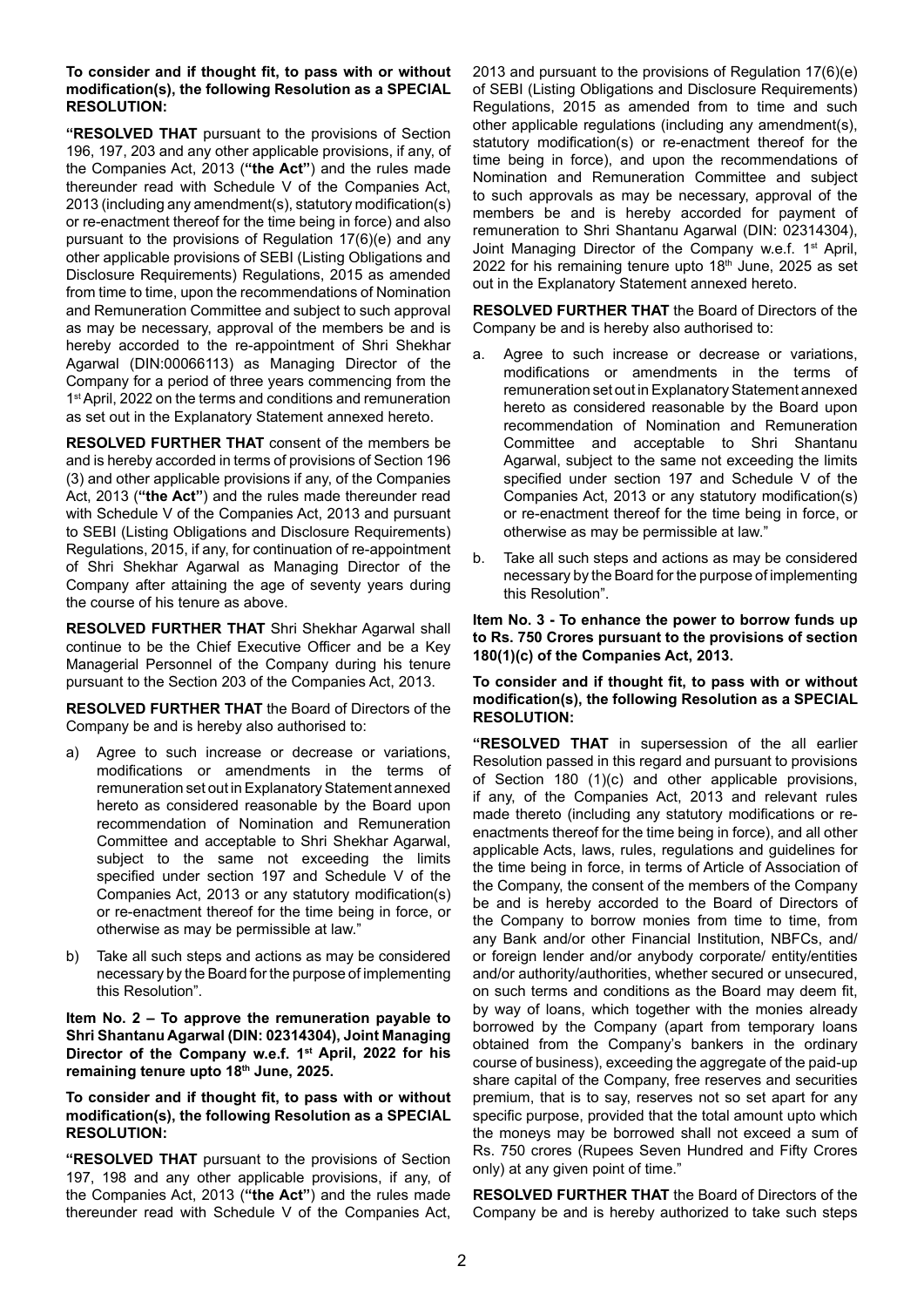#### **To consider and if thought fit, to pass with or without modification(s), the following Resolution as a SPECIAL RESOLUTION:**

**"RESOLVED THAT** pursuant to the provisions of Section 196, 197, 203 and any other applicable provisions, if any, of the Companies Act, 2013 (**"the Act"**) and the rules made thereunder read with Schedule V of the Companies Act, 2013 (including any amendment(s), statutory modification(s) or re-enactment thereof for the time being in force) and also pursuant to the provisions of Regulation 17(6)(e) and any other applicable provisions of SEBI (Listing Obligations and Disclosure Requirements) Regulations, 2015 as amended from time to time, upon the recommendations of Nomination and Remuneration Committee and subject to such approval as may be necessary, approval of the members be and is hereby accorded to the re-appointment of Shri Shekhar Agarwal (DIN:00066113) as Managing Director of the Company for a period of three years commencing from the 1<sup>st</sup> April, 2022 on the terms and conditions and remuneration as set out in the Explanatory Statement annexed hereto.

**RESOLVED FURTHER THAT** consent of the members be and is hereby accorded in terms of provisions of Section 196 (3) and other applicable provisions if any, of the Companies Act, 2013 (**"the Act"**) and the rules made thereunder read with Schedule V of the Companies Act, 2013 and pursuant to SEBI (Listing Obligations and Disclosure Requirements) Regulations, 2015, if any, for continuation of re-appointment of Shri Shekhar Agarwal as Managing Director of the Company after attaining the age of seventy years during the course of his tenure as above.

**RESOLVED FURTHER THAT** Shri Shekhar Agarwal shall continue to be the Chief Executive Officer and be a Key Managerial Personnel of the Company during his tenure pursuant to the Section 203 of the Companies Act, 2013.

**RESOLVED FURTHER THAT** the Board of Directors of the Company be and is hereby also authorised to:

- a) Agree to such increase or decrease or variations, modifications or amendments in the terms of remuneration set out in Explanatory Statement annexed hereto as considered reasonable by the Board upon recommendation of Nomination and Remuneration Committee and acceptable to Shri Shekhar Agarwal, subject to the same not exceeding the limits specified under section 197 and Schedule V of the Companies Act, 2013 or any statutory modification(s) or re-enactment thereof for the time being in force, or otherwise as may be permissible at law."
- b) Take all such steps and actions as may be considered necessary by the Board for the purpose of implementing this Resolution".

**Item No. 2 – To approve the remuneration payable to Shri Shantanu Agarwal (DIN: 02314304), Joint Managing Director of the Company w.e.f. 1st April, 2022 for his remaining tenure upto 18th June, 2025.**

**To consider and if thought fit, to pass with or without modification(s), the following Resolution as a SPECIAL RESOLUTION:**

**"RESOLVED THAT** pursuant to the provisions of Section 197, 198 and any other applicable provisions, if any, of the Companies Act, 2013 (**"the Act"**) and the rules made thereunder read with Schedule V of the Companies Act,

2013 and pursuant to the provisions of Regulation 17(6)(e) of SEBI (Listing Obligations and Disclosure Requirements) Regulations, 2015 as amended from to time and such other applicable regulations (including any amendment(s), statutory modification(s) or re-enactment thereof for the time being in force), and upon the recommendations of Nomination and Remuneration Committee and subject to such approvals as may be necessary, approval of the members be and is hereby accorded for payment of remuneration to Shri Shantanu Agarwal (DIN: 02314304), Joint Managing Director of the Company w.e.f. 1st April, 2022 for his remaining tenure upto  $18<sup>th</sup>$  June, 2025 as set out in the Explanatory Statement annexed hereto.

**RESOLVED FURTHER THAT** the Board of Directors of the Company be and is hereby also authorised to:

- a. Agree to such increase or decrease or variations, modifications or amendments in the terms of remuneration set out in Explanatory Statement annexed hereto as considered reasonable by the Board upon recommendation of Nomination and Remuneration Committee and acceptable to Shri Shantanu Agarwal, subject to the same not exceeding the limits specified under section 197 and Schedule V of the Companies Act, 2013 or any statutory modification(s) or re-enactment thereof for the time being in force, or otherwise as may be permissible at law."
- b. Take all such steps and actions as may be considered necessary by the Board for the purpose of implementing this Resolution".

**Item No. 3 - To enhance the power to borrow funds up to Rs. 750 Crores pursuant to the provisions of section 180(1)(c) of the Companies Act, 2013.**

#### **To consider and if thought fit, to pass with or without modification(s), the following Resolution as a SPECIAL RESOLUTION:**

**"RESOLVED THAT** in supersession of the all earlier Resolution passed in this regard and pursuant to provisions of Section 180 (1)(c) and other applicable provisions, if any, of the Companies Act, 2013 and relevant rules made thereto (including any statutory modifications or reenactments thereof for the time being in force), and all other applicable Acts, laws, rules, regulations and guidelines for the time being in force, in terms of Article of Association of the Company, the consent of the members of the Company be and is hereby accorded to the Board of Directors of the Company to borrow monies from time to time, from any Bank and/or other Financial Institution, NBFCs, and/ or foreign lender and/or anybody corporate/ entity/entities and/or authority/authorities, whether secured or unsecured, on such terms and conditions as the Board may deem fit, by way of loans, which together with the monies already borrowed by the Company (apart from temporary loans obtained from the Company's bankers in the ordinary course of business), exceeding the aggregate of the paid-up share capital of the Company, free reserves and securities premium, that is to say, reserves not so set apart for any specific purpose, provided that the total amount upto which the moneys may be borrowed shall not exceed a sum of Rs. 750 crores (Rupees Seven Hundred and Fifty Crores only) at any given point of time."

**RESOLVED FURTHER THAT** the Board of Directors of the Company be and is hereby authorized to take such steps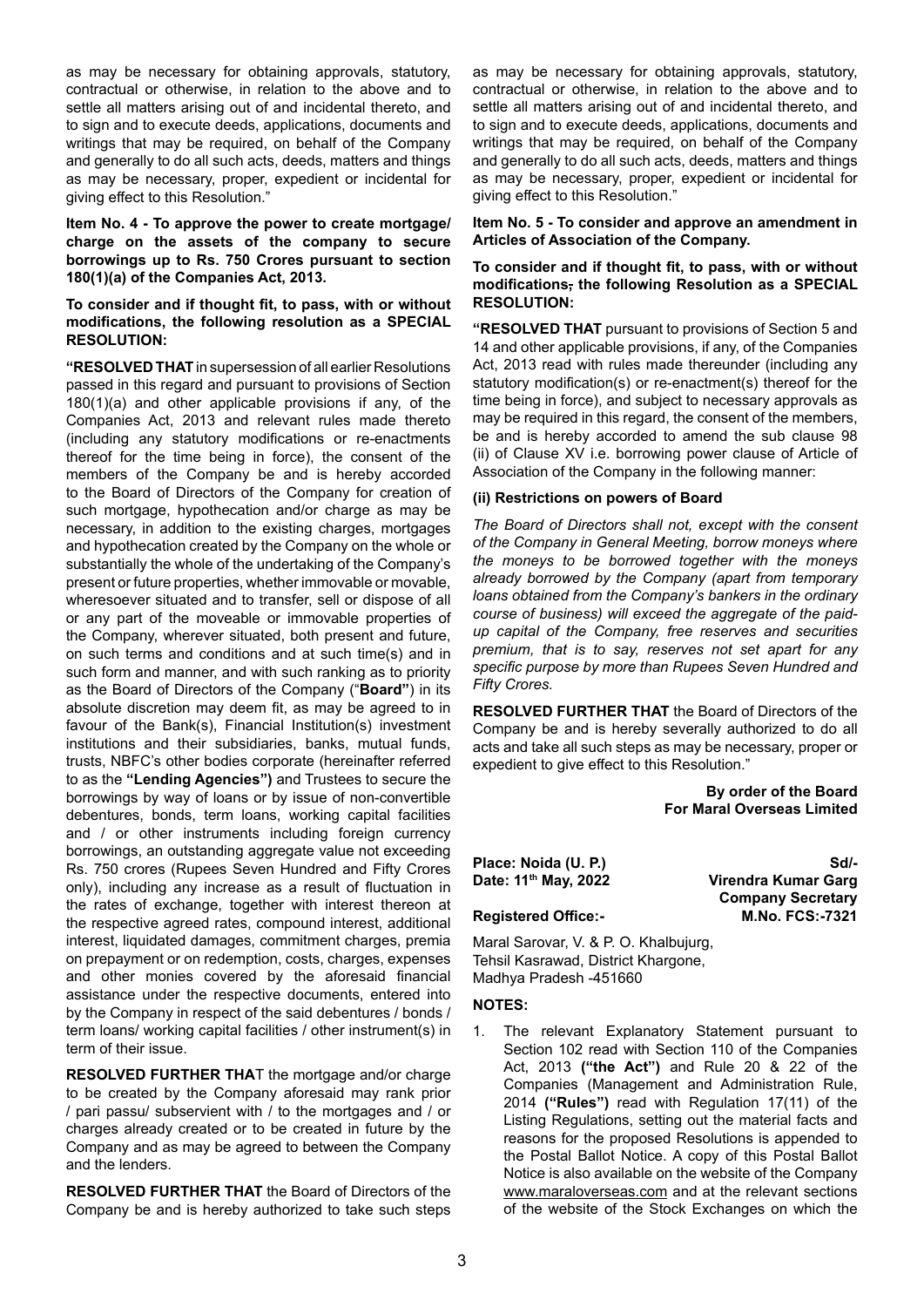as may be necessary for obtaining approvals, statutory, contractual or otherwise, in relation to the above and to settle all matters arising out of and incidental thereto, and to sign and to execute deeds, applications, documents and writings that may be required, on behalf of the Company and generally to do all such acts, deeds, matters and things as may be necessary, proper, expedient or incidental for giving effect to this Resolution."

#### **Item No. 4 - To approve the power to create mortgage/ charge on the assets of the company to secure borrowings up to Rs. 750 Crores pursuant to section 180(1)(a) of the Companies Act, 2013.**

#### **To consider and if thought fit, to pass, with or without modifications, the following resolution as a SPECIAL RESOLUTION:**

**"RESOLVED THAT** in supersession of all earlier Resolutions passed in this regard and pursuant to provisions of Section 180(1)(a) and other applicable provisions if any, of the Companies Act, 2013 and relevant rules made thereto (including any statutory modifications or re-enactments thereof for the time being in force), the consent of the members of the Company be and is hereby accorded to the Board of Directors of the Company for creation of such mortgage, hypothecation and/or charge as may be necessary, in addition to the existing charges, mortgages and hypothecation created by the Company on the whole or substantially the whole of the undertaking of the Company's present or future properties, whether immovable or movable, wheresoever situated and to transfer, sell or dispose of all or any part of the moveable or immovable properties of the Company, wherever situated, both present and future, on such terms and conditions and at such time(s) and in such form and manner, and with such ranking as to priority as the Board of Directors of the Company ("**Board"**) in its absolute discretion may deem fit, as may be agreed to in favour of the Bank(s), Financial Institution(s) investment institutions and their subsidiaries, banks, mutual funds, trusts, NBFC's other bodies corporate (hereinafter referred to as the **"Lending Agencies")** and Trustees to secure the borrowings by way of loans or by issue of non-convertible debentures, bonds, term loans, working capital facilities and / or other instruments including foreign currency borrowings, an outstanding aggregate value not exceeding Rs. 750 crores (Rupees Seven Hundred and Fifty Crores only), including any increase as a result of fluctuation in the rates of exchange, together with interest thereon at the respective agreed rates, compound interest, additional interest, liquidated damages, commitment charges, premia on prepayment or on redemption, costs, charges, expenses and other monies covered by the aforesaid financial assistance under the respective documents, entered into by the Company in respect of the said debentures / bonds / term loans/ working capital facilities / other instrument(s) in term of their issue.

**RESOLVED FURTHER THA**T the mortgage and/or charge to be created by the Company aforesaid may rank prior / pari passu/ subservient with / to the mortgages and / or charges already created or to be created in future by the Company and as may be agreed to between the Company and the lenders.

**RESOLVED FURTHER THAT** the Board of Directors of the Company be and is hereby authorized to take such steps as may be necessary for obtaining approvals, statutory, contractual or otherwise, in relation to the above and to settle all matters arising out of and incidental thereto, and to sign and to execute deeds, applications, documents and writings that may be required, on behalf of the Company and generally to do all such acts, deeds, matters and things as may be necessary, proper, expedient or incidental for giving effect to this Resolution."

#### **Item No. 5 - To consider and approve an amendment in Articles of Association of the Company.**

#### **To consider and if thought fit, to pass, with or without modifications, the following Resolution as a SPECIAL RESOLUTION:**

**"RESOLVED THAT** pursuant to provisions of Section 5 and 14 and other applicable provisions, if any, of the Companies Act, 2013 read with rules made thereunder (including any statutory modification(s) or re-enactment(s) thereof for the time being in force), and subject to necessary approvals as may be required in this regard, the consent of the members, be and is hereby accorded to amend the sub clause 98 (ii) of Clause XV i.e. borrowing power clause of Article of Association of the Company in the following manner:

#### **(ii) Restrictions on powers of Board**

*The Board of Directors shall not, except with the consent of the Company in General Meeting, borrow moneys where the moneys to be borrowed together with the moneys already borrowed by the Company (apart from temporary loans obtained from the Company's bankers in the ordinary course of business) will exceed the aggregate of the paidup capital of the Company, free reserves and securities premium, that is to say, reserves not set apart for any specific purpose by more than Rupees Seven Hundred and Fifty Crores.*

**RESOLVED FURTHER THAT** the Board of Directors of the Company be and is hereby severally authorized to do all acts and take all such steps as may be necessary, proper or expedient to give effect to this Resolution."

> **By order of the Board For Maral Overseas Limited**

**Place: Noida (U. P.)** Sd/-

**Date: 11th May, 2022 Virendra Kumar Garg Company Secretary Registered Office:- M.No. FCS:-7321**

Maral Sarovar, V. & P. O. Khalbujurg, Tehsil Kasrawad, District Khargone, Madhya Pradesh -451660

#### **NOTES:**

1. The relevant Explanatory Statement pursuant to Section 102 read with Section 110 of the Companies Act, 2013 **("the Act")** and Rule 20 & 22 of the Companies (Management and Administration Rule, 2014 **("Rules")** read with Regulation 17(11) of the Listing Regulations, setting out the material facts and reasons for the proposed Resolutions is appended to the Postal Ballot Notice. A copy of this Postal Ballot Notice is also available on the website of the Company www.maraloverseas.com and at the relevant sections of the website of the Stock Exchanges on which the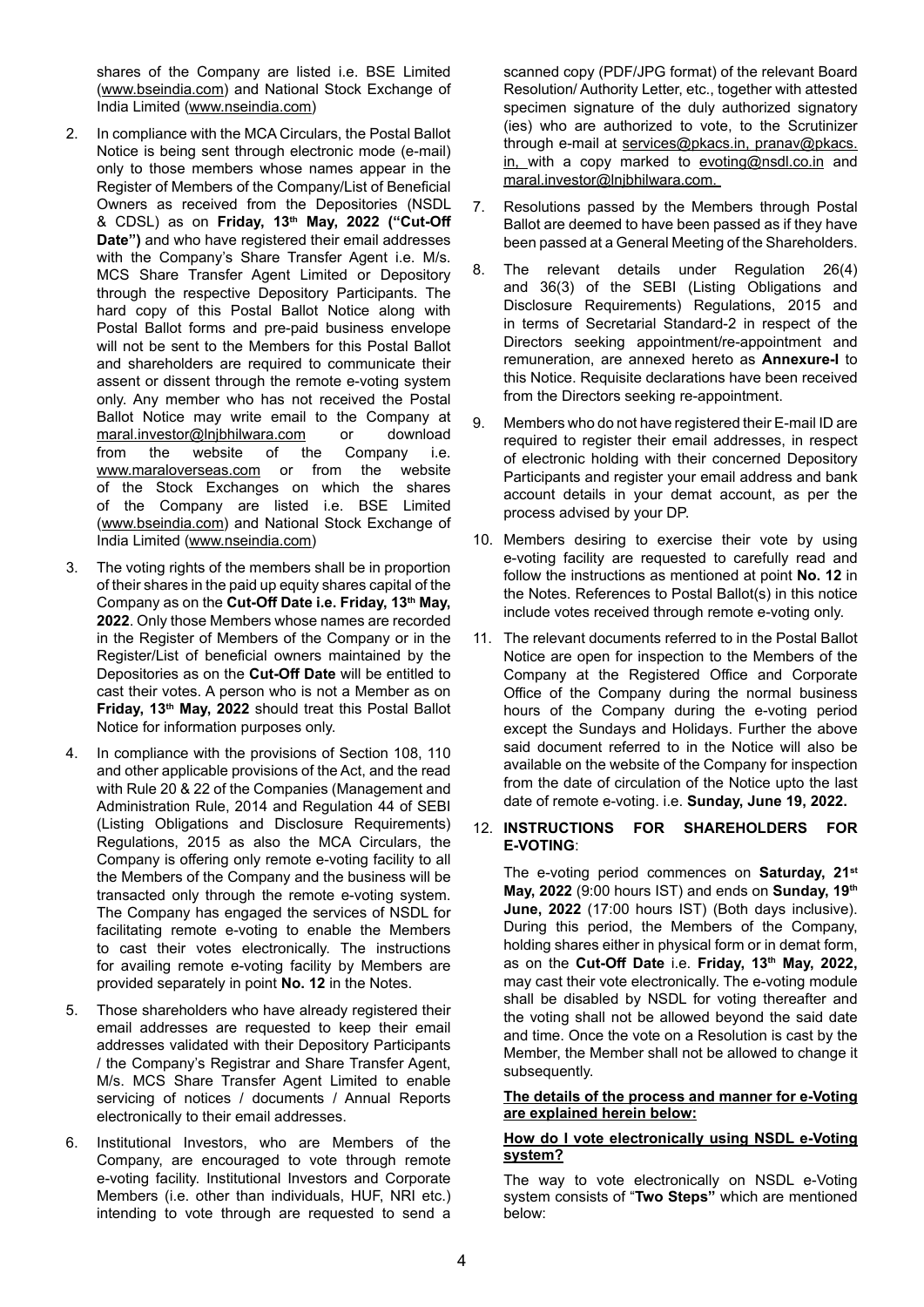shares of the Company are listed i.e. BSE Limited (www.bseindia.com) and National Stock Exchange of India Limited (www.nseindia.com)

- 2. In compliance with the MCA Circulars, the Postal Ballot Notice is being sent through electronic mode (e-mail) only to those members whose names appear in the Register of Members of the Company/List of Beneficial Owners as received from the Depositories (NSDL & CDSL) as on **Friday, 13th May, 2022 ("Cut-Off Date")** and who have registered their email addresses with the Company's Share Transfer Agent i.e. M/s. MCS Share Transfer Agent Limited or Depository through the respective Depository Participants. The hard copy of this Postal Ballot Notice along with Postal Ballot forms and pre-paid business envelope will not be sent to the Members for this Postal Ballot and shareholders are required to communicate their assent or dissent through the remote e-voting system only. Any member who has not received the Postal Ballot Notice may write email to the Company at maral.investor@lnjbhilwara.com or download from the website of the Company i.e. www.maraloverseas.com or from the website of the Stock Exchanges on which the shares of the Company are listed i.e. BSE Limited (www.bseindia.com) and National Stock Exchange of India Limited (www.nseindia.com)
- 3. The voting rights of the members shall be in proportion of their shares in the paid up equity shares capital of the Company as on the **Cut-Off Date i.e. Friday, 13th May, 2022**. Only those Members whose names are recorded in the Register of Members of the Company or in the Register/List of beneficial owners maintained by the Depositories as on the **Cut-Off Date** will be entitled to cast their votes. A person who is not a Member as on **Friday, 13th May, 2022** should treat this Postal Ballot Notice for information purposes only.
- 4. In compliance with the provisions of Section 108, 110 and other applicable provisions of the Act, and the read with Rule 20 & 22 of the Companies (Management and Administration Rule, 2014 and Regulation 44 of SEBI (Listing Obligations and Disclosure Requirements) Regulations, 2015 as also the MCA Circulars, the Company is offering only remote e-voting facility to all the Members of the Company and the business will be transacted only through the remote e-voting system. The Company has engaged the services of NSDL for facilitating remote e-voting to enable the Members to cast their votes electronically. The instructions for availing remote e-voting facility by Members are provided separately in point **No. 12** in the Notes.
- 5. Those shareholders who have already registered their email addresses are requested to keep their email addresses validated with their Depository Participants / the Company's Registrar and Share Transfer Agent, M/s. MCS Share Transfer Agent Limited to enable servicing of notices / documents / Annual Reports electronically to their email addresses.
- 6. Institutional Investors, who are Members of the Company, are encouraged to vote through remote e-voting facility. Institutional Investors and Corporate Members (i.e. other than individuals, HUF, NRI etc.) intending to vote through are requested to send a

scanned copy (PDF/JPG format) of the relevant Board Resolution/ Authority Letter, etc., together with attested specimen signature of the duly authorized signatory (ies) who are authorized to vote, to the Scrutinizer through e-mail at services@pkacs.in, pranav@pkacs. in, with a copy marked to evoting@nsdl.co.in and maral.investor@lnjbhilwara.com.

- 7. Resolutions passed by the Members through Postal Ballot are deemed to have been passed as if they have been passed at a General Meeting of the Shareholders.
- 8. The relevant details under Regulation 26(4) and 36(3) of the SEBI (Listing Obligations and Disclosure Requirements) Regulations, 2015 and in terms of Secretarial Standard-2 in respect of the Directors seeking appointment/re-appointment and remuneration, are annexed hereto as **Annexure-I** to this Notice. Requisite declarations have been received from the Directors seeking re-appointment.
- 9. Members who do not have registered their E-mail ID are required to register their email addresses, in respect of electronic holding with their concerned Depository Participants and register your email address and bank account details in your demat account, as per the process advised by your DP.
- 10. Members desiring to exercise their vote by using e-voting facility are requested to carefully read and follow the instructions as mentioned at point **No. 12** in the Notes. References to Postal Ballot(s) in this notice include votes received through remote e-voting only.
- 11. The relevant documents referred to in the Postal Ballot Notice are open for inspection to the Members of the Company at the Registered Office and Corporate Office of the Company during the normal business hours of the Company during the e-voting period except the Sundays and Holidays. Further the above said document referred to in the Notice will also be available on the website of the Company for inspection from the date of circulation of the Notice upto the last date of remote e-voting. i.e. **Sunday, June 19, 2022.**

### 12. **INSTRUCTIONS FOR SHAREHOLDERS FOR E-VOTING**:

The e-voting period commences on **Saturday, 21st May, 2022** (9:00 hours IST) and ends on **Sunday, 19th June, 2022** (17:00 hours IST) (Both days inclusive). During this period, the Members of the Company, holding shares either in physical form or in demat form, as on the **Cut-Off Date** i.e. **Friday, 13th May, 2022,**  may cast their vote electronically. The e-voting module shall be disabled by NSDL for voting thereafter and the voting shall not be allowed beyond the said date and time. Once the vote on a Resolution is cast by the Member, the Member shall not be allowed to change it subsequently.

#### **The details of the process and manner for e-Voting are explained herein below:**

#### **How do I vote electronically using NSDL e-Voting system?**

The way to vote electronically on NSDL e-Voting system consists of "**Two Steps"** which are mentioned below: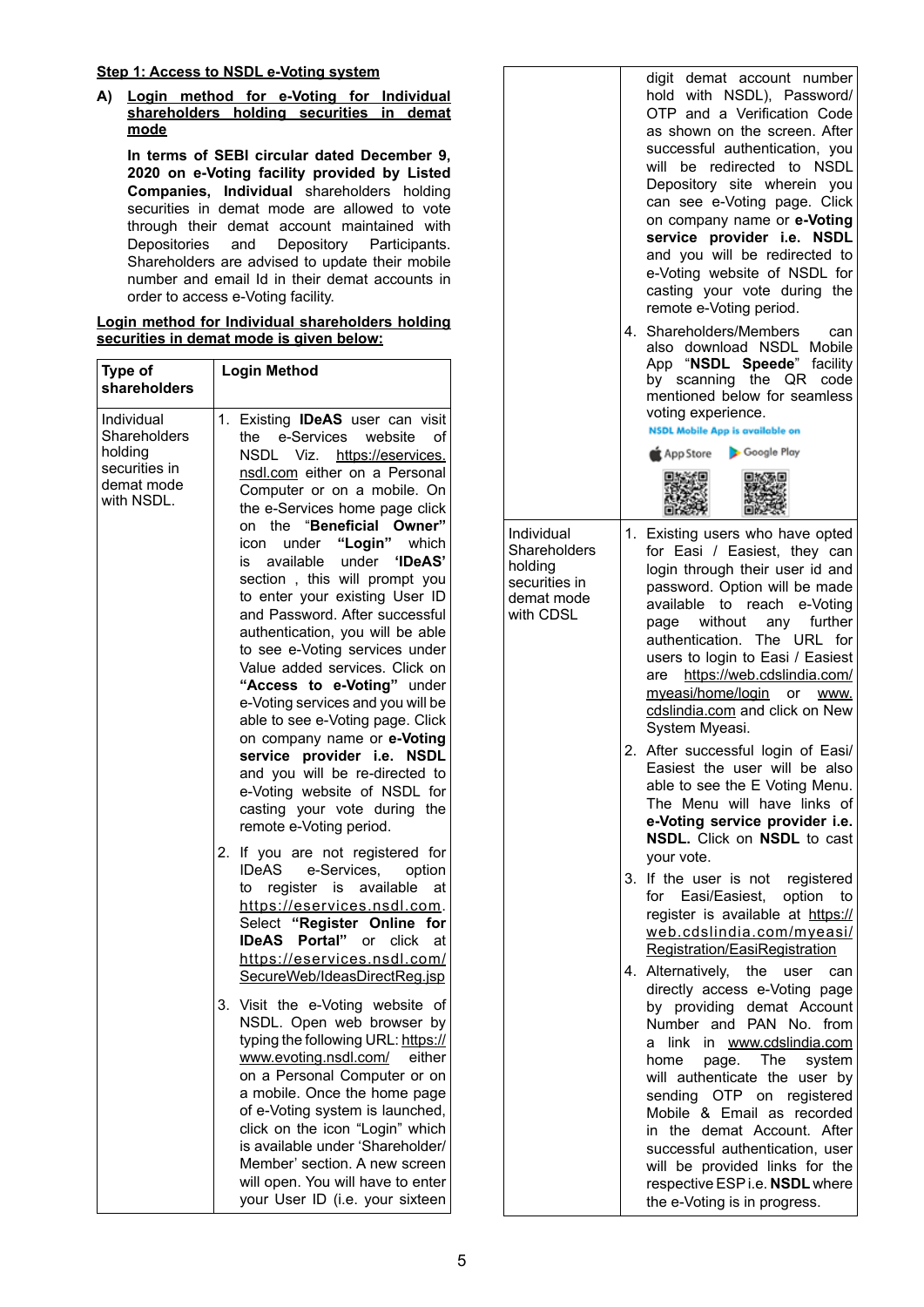# **Step 1: Access to NSDL e-Voting system**

**A) Login method for e-Voting for Individual shareholders holding securities in demat mode**

**In terms of SEBI circular dated December 9, 2020 on e-Voting facility provided by Listed Companies, Individual** shareholders holding securities in demat mode are allowed to vote through their demat account maintained with Depositories and Depository Participants. Shareholders are advised to update their mobile number and email Id in their demat accounts in order to access e-Voting facility.

|                                          |  |  |  |  | Login method for Individual shareholders holding |  |
|------------------------------------------|--|--|--|--|--------------------------------------------------|--|
| securities in demat mode is given below: |  |  |  |  |                                                  |  |

| Type of<br>shareholders                                                            | <b>Login Method</b>                                                                                                                                                                                                                                                                                                                                                                                                                                                                                                                                                                                                                                                                                                                                                                                                                              |  |
|------------------------------------------------------------------------------------|--------------------------------------------------------------------------------------------------------------------------------------------------------------------------------------------------------------------------------------------------------------------------------------------------------------------------------------------------------------------------------------------------------------------------------------------------------------------------------------------------------------------------------------------------------------------------------------------------------------------------------------------------------------------------------------------------------------------------------------------------------------------------------------------------------------------------------------------------|--|
| Individual<br>Shareholders<br>holding<br>securities in<br>demat mode<br>with NSDL. | Existing <b>IDeAS</b> user can visit<br>1.<br>e-Services<br>website<br>the<br>of<br>NSDL Viz.<br>https://eservices.<br>nsdl.com either on a Personal<br>Computer or on a mobile. On<br>the e-Services home page click<br>"Beneficial Owner"<br>on the<br>"Login"<br>icon<br>under<br>which<br>available<br>under<br>'IDeAS'<br>İS.<br>section, this will prompt you<br>to enter your existing User ID<br>and Password. After successful<br>authentication, you will be able<br>to see e-Voting services under<br>Value added services. Click on<br>"Access to e-Voting" under<br>e-Voting services and you will be<br>able to see e-Voting page. Click<br>on company name or e-Voting<br>service provider i.e. NSDL<br>and you will be re-directed to<br>e-Voting website of NSDL for<br>casting your vote during the<br>remote e-Voting period. |  |
|                                                                                    | 2.<br>If you are not registered for<br><b>IDeAS</b><br>e-Services,<br>option<br>register is available<br>at<br>to<br>https://eservices.nsdl.com.<br>Select "Register Online for<br><b>IDeAS</b><br>Portal"<br>click<br>or<br>at<br>https://eservices.nsdl.com/<br>SecureWeb/IdeasDirectReg.jsp                                                                                                                                                                                                                                                                                                                                                                                                                                                                                                                                                   |  |
|                                                                                    | Visit the e-Voting website of<br>3.<br>NSDL. Open web browser by<br>typing the following URL: https://<br>www.evoting.nsdl.com/ either<br>on a Personal Computer or on<br>a mobile. Once the home page<br>of e-Voting system is launched,<br>click on the icon "Login" which<br>is available under 'Shareholder/<br>Member' section. A new screen<br>will open. You will have to enter<br>your User ID (i.e. your sixteen                                                                                                                                                                                                                                                                                                                                                                                                                        |  |

|                                                                                   | 4. | digit demat account number<br>hold with NSDL), Password/<br>OTP and a Verification Code<br>as shown on the screen. After<br>successful authentication, you<br>will be redirected to NSDL<br>Depository site wherein you<br>can see e-Voting page. Click<br>on company name or e-Voting<br>service provider i.e. NSDL<br>and you will be redirected to<br>e-Voting website of NSDL for<br>casting your vote during the<br>remote e-Voting period.<br>Shareholders/Members<br>can<br>also download NSDL<br>Mobile<br>App "NSDL Speede" facility<br>the QR code<br>by scanning<br>mentioned below for seamless<br>voting experience.<br><b>NSDL Mobile App is available on</b><br>Google Play<br>App Store |
|-----------------------------------------------------------------------------------|----|---------------------------------------------------------------------------------------------------------------------------------------------------------------------------------------------------------------------------------------------------------------------------------------------------------------------------------------------------------------------------------------------------------------------------------------------------------------------------------------------------------------------------------------------------------------------------------------------------------------------------------------------------------------------------------------------------------|
| Individual<br>Shareholders<br>holding<br>securities in<br>demat mode<br>with CDSL |    | 1. Existing users who have opted<br>for Easi / Easiest, they can<br>login through their user id and<br>password. Option will be made<br>available<br>to<br>reach<br>e-Voting<br>further<br>without<br>any<br>page<br>authentication. The URL for<br>users to login to Easi / Easiest<br>https://web.cdslindia.com/<br>are<br>myeasi/home/login or www.<br>cdslindia.com and click on New<br>System Myeasi.                                                                                                                                                                                                                                                                                              |
|                                                                                   |    | 2. After successful login of Easi/<br>Easiest the user will be also<br>able to see the E Voting Menu.<br>The Menu will have links of<br>e-Voting service provider i.e.<br><b>NSDL.</b> Click on <b>NSDL</b> to cast<br>your vote.                                                                                                                                                                                                                                                                                                                                                                                                                                                                       |
|                                                                                   | 3. | If the user is not<br>registered<br>Easi/Easiest,<br>option<br>for<br>to<br>register is available at https://<br>web.cdslindia.com/myeasi/<br>Registration/EasiRegistration                                                                                                                                                                                                                                                                                                                                                                                                                                                                                                                             |
|                                                                                   |    | 4. Alternatively,<br>the<br>user<br>can<br>directly access e-Voting page<br>by providing demat Account<br>Number and<br><b>PAN</b><br>No.<br>from<br>link<br>in<br>www.cdslindia.com<br>a<br>home<br>The<br>page.<br>system<br>will authenticate the<br>user by<br>sending OTP on registered<br>Mobile & Email as recorded<br>demat Account. After<br>in the<br>successful authentication, user<br>will be provided links for the<br>respective ESP i.e. NSDL where<br>the e-Voting is in progress.                                                                                                                                                                                                     |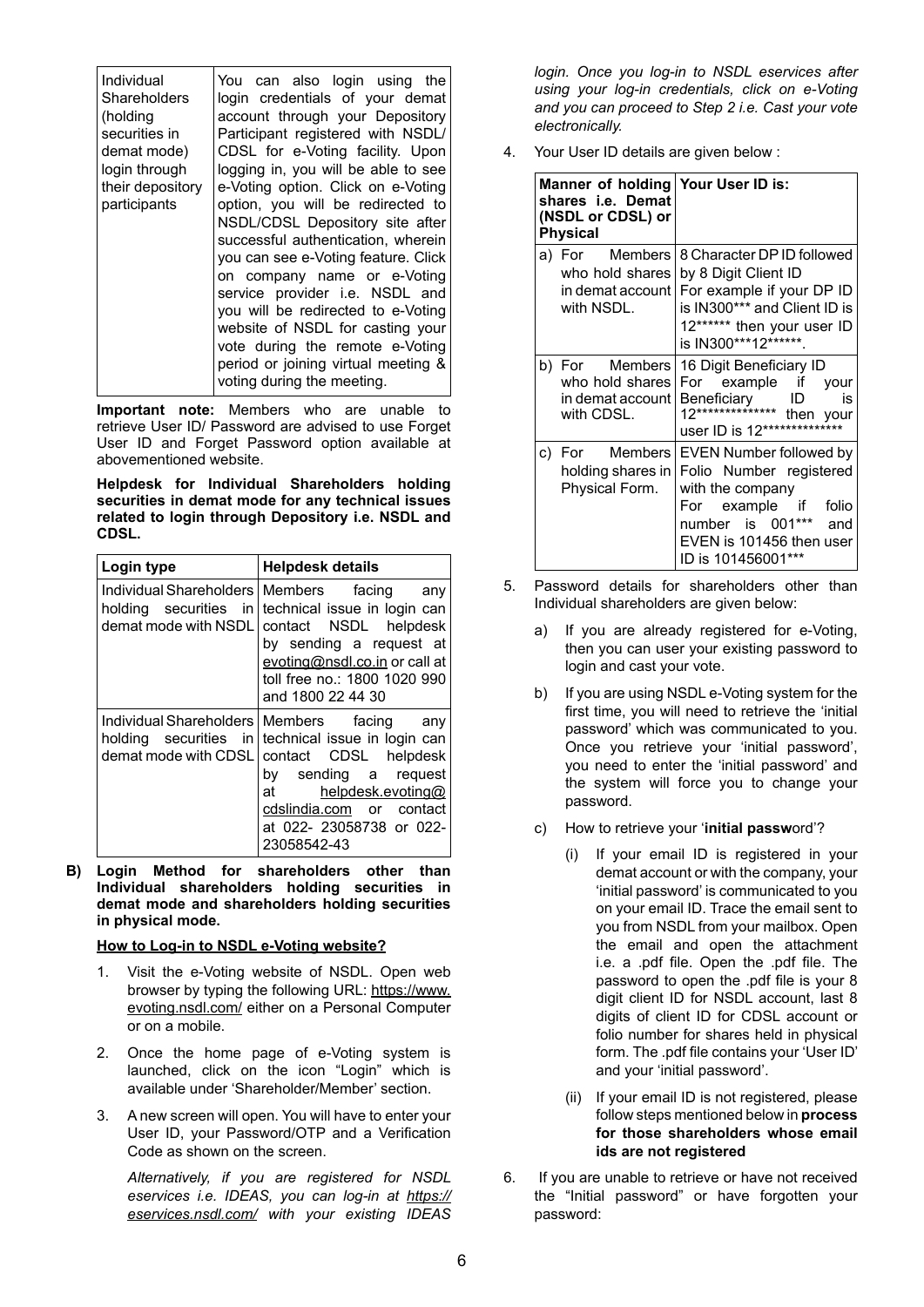| Individual<br>Shareholders<br>(holding<br>securities in<br>demat mode)<br>login through<br>their depository<br>participants | You can also login using the<br>login credentials of your demat<br>account through your Depository<br>Participant registered with NSDL/<br>CDSL for e-Voting facility. Upon<br>logging in, you will be able to see<br>e-Voting option. Click on e-Voting<br>option, you will be redirected to<br>NSDL/CDSL Depository site after<br>successful authentication, wherein<br>you can see e-Voting feature. Click<br>on company name or e-Voting<br>service provider i.e. NSDL and<br>you will be redirected to e-Voting<br>website of NSDL for casting your<br>vote during the remote e-Voting |
|-----------------------------------------------------------------------------------------------------------------------------|---------------------------------------------------------------------------------------------------------------------------------------------------------------------------------------------------------------------------------------------------------------------------------------------------------------------------------------------------------------------------------------------------------------------------------------------------------------------------------------------------------------------------------------------------------------------------------------------|
|                                                                                                                             | period or joining virtual meeting &<br>voting during the meeting.                                                                                                                                                                                                                                                                                                                                                                                                                                                                                                                           |

**Important note:** Members who are unable to retrieve User ID/ Password are advised to use Forget User ID and Forget Password option available at abovementioned website.

**Helpdesk for Individual Shareholders holding securities in demat mode for any technical issues related to login through Depository i.e. NSDL and CDSL.**

| Login type           | <b>Helpdesk details</b>                                                                                                                                                                                                                                    |  |  |
|----------------------|------------------------------------------------------------------------------------------------------------------------------------------------------------------------------------------------------------------------------------------------------------|--|--|
| demat mode with NSDL | Individual Shareholders   Members facing<br>any<br>holding securities in technical issue in login can<br>contact NSDL helpdesk<br>by sending a request at<br>evoting@nsdl.co.in or call at<br>toll free no.: 1800 1020 990<br>and 1800 22 44 30            |  |  |
| demat mode with CDSL | Individual Shareholders   Members facing any<br>holding securities in technical issue in login can<br>contact CDSL<br>helpdesk<br>by sending a request<br>helpdesk.evoting@<br>at a<br>cdslindia.com or contact<br>at 022- 23058738 or 022-<br>23058542-43 |  |  |

**B) Login Method for shareholders other than Individual shareholders holding securities in demat mode and shareholders holding securities in physical mode.**

#### **How to Log-in to NSDL e-Voting website?**

- 1. Visit the e-Voting website of NSDL. Open web browser by typing the following URL: https://www. evoting.nsdl.com/ either on a Personal Computer or on a mobile.
- 2. Once the home page of e-Voting system is launched, click on the icon "Login" which is available under 'Shareholder/Member' section.
- 3. A new screen will open. You will have to enter your User ID, your Password/OTP and a Verification Code as shown on the screen.

*Alternatively, if you are registered for NSDL eservices i.e. IDEAS, you can log-in at https:// eservices.nsdl.com/ with your existing IDEAS* 

*login. Once you log-in to NSDL eservices after using your log-in credentials, click on e-Voting and you can proceed to Step 2 i.e. Cast your vote electronically.*

4. Your User ID details are given below :

| Manner of holding Your User ID is:<br>shares i.e. Demat<br>(NSDL or CDSL) or<br><b>Physical</b> |                                                                                                                                                                                                                             |  |  |
|-------------------------------------------------------------------------------------------------|-----------------------------------------------------------------------------------------------------------------------------------------------------------------------------------------------------------------------------|--|--|
| with NSDL.                                                                                      | a) For Members   8 Character DP ID followed<br>who hold shares   by 8 Digit Client ID<br>in demat account   For example if your DP ID<br>is IN300*** and Client ID is<br>12****** then your user ID<br>is IN300***12******. |  |  |
| b) For Members<br>who hold shares<br>in demat account l<br>with CDSL.                           | 16 Digit Beneficiary ID<br>For example if<br>your<br>Beneficiary ID is<br>12*************** then your<br>user ID is 12**************                                                                                        |  |  |
| holding shares in<br>Physical Form.                                                             | c) For Members EVEN Number followed by<br>Folio Number registered<br>with the company<br>For example if folio<br>number is 001*** and<br>EVEN is 101456 then user<br>ID is 101456001                                        |  |  |

- 5. Password details for shareholders other than Individual shareholders are given below:
	- a) If you are already registered for e-Voting, then you can user your existing password to login and cast your vote.
	- b) If you are using NSDL e-Voting system for the first time, you will need to retrieve the 'initial password' which was communicated to you. Once you retrieve your 'initial password', you need to enter the 'initial password' and the system will force you to change your password.
	- c) How to retrieve your '**initial passw**ord'?
		- (i) If your email ID is registered in your demat account or with the company, your 'initial password' is communicated to you on your email ID. Trace the email sent to you from NSDL from your mailbox. Open the email and open the attachment i.e. a .pdf file. Open the .pdf file. The password to open the .pdf file is your 8 digit client ID for NSDL account, last 8 digits of client ID for CDSL account or folio number for shares held in physical form. The .pdf file contains your 'User ID' and your 'initial password'.
		- (ii) If your email ID is not registered, please follow steps mentioned below in **process for those shareholders whose email ids are not registered**
- 6. If you are unable to retrieve or have not received the "Initial password" or have forgotten your password: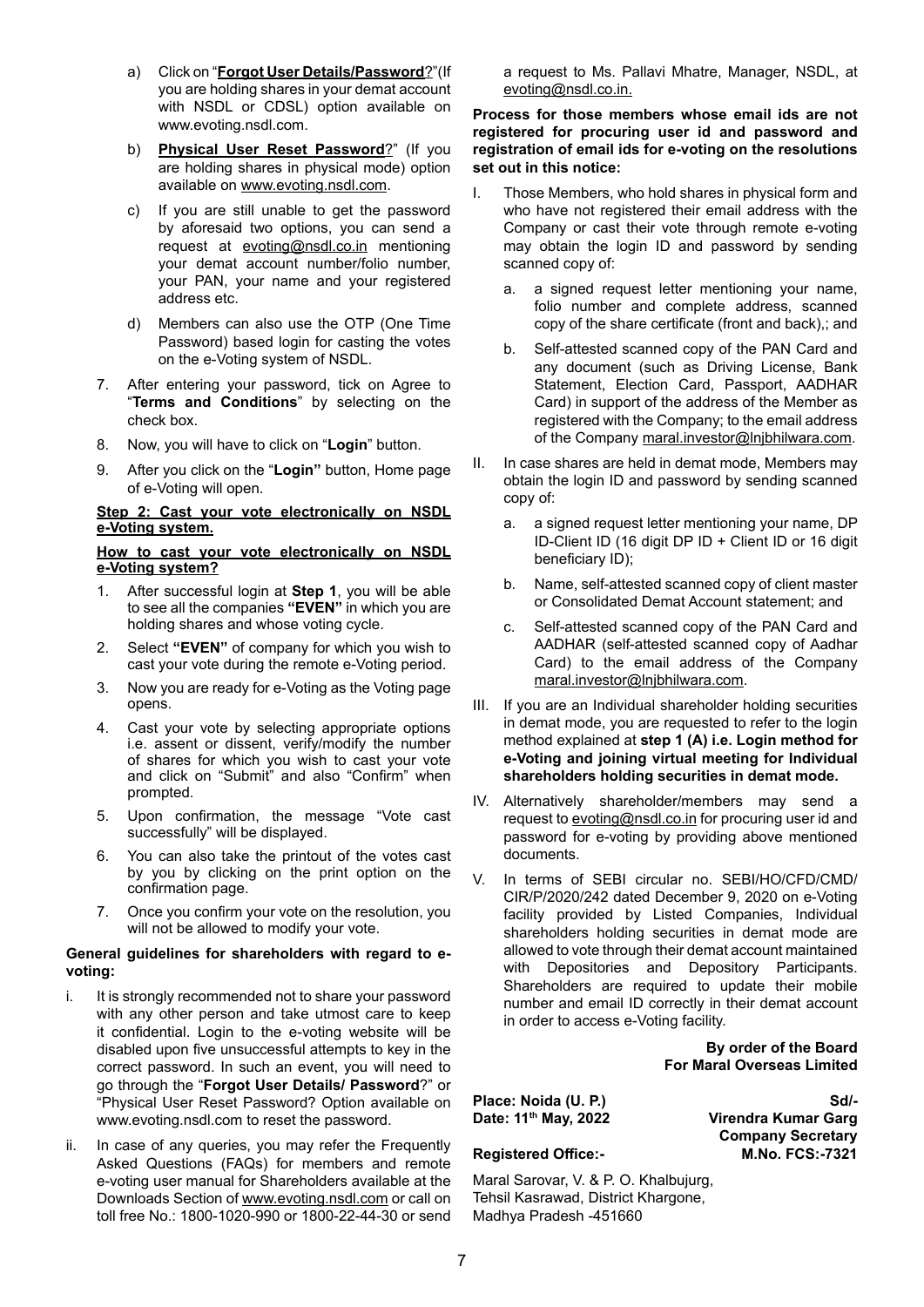- a) Click on "**Forgot User Details/Password**?"(If you are holding shares in your demat account with NSDL or CDSL) option available on www.evoting.nsdl.com.
- b) **Physical User Reset Password**?" (If you are holding shares in physical mode) option available on www.evoting.nsdl.com.
- c) If you are still unable to get the password by aforesaid two options, you can send a request at evoting@nsdl.co.in mentioning your demat account number/folio number, your PAN, your name and your registered address etc.
- d) Members can also use the OTP (One Time Password) based login for casting the votes on the e-Voting system of NSDL.
- 7. After entering your password, tick on Agree to "**Terms and Conditions**" by selecting on the check box.
- 8. Now, you will have to click on "**Login**" button.
- 9. After you click on the "**Login"** button, Home page of e-Voting will open.

#### **Step 2: Cast your vote electronically on NSDL e-Voting system.**

#### **How to cast your vote electronically on NSDL e-Voting system?**

- 1. After successful login at **Step 1**, you will be able to see all the companies **"EVEN"** in which you are holding shares and whose voting cycle.
- 2. Select **"EVEN"** of company for which you wish to cast your vote during the remote e-Voting period.
- 3. Now you are ready for e-Voting as the Voting page opens.
- 4. Cast your vote by selecting appropriate options i.e. assent or dissent, verify/modify the number of shares for which you wish to cast your vote and click on "Submit" and also "Confirm" when prompted.
- 5. Upon confirmation, the message "Vote cast successfully" will be displayed.
- 6. You can also take the printout of the votes cast by you by clicking on the print option on the confirmation page.
- 7. Once you confirm your vote on the resolution, you will not be allowed to modify your vote.

#### **General guidelines for shareholders with regard to evoting:**

- i. It is strongly recommended not to share your password with any other person and take utmost care to keep it confidential. Login to the e-voting website will be disabled upon five unsuccessful attempts to key in the correct password. In such an event, you will need to go through the "**Forgot User Details/ Password**?" or "Physical User Reset Password? Option available on www.evoting.nsdl.com to reset the password.
- ii. In case of any queries, you may refer the Frequently Asked Questions (FAQs) for members and remote e-voting user manual for Shareholders available at the Downloads Section of www.evoting.nsdl.com or call on toll free No.: 1800-1020-990 or 1800-22-44-30 or send

a request to Ms. Pallavi Mhatre, Manager, NSDL, at evoting@nsdl.co.in.

#### **Process for those members whose email ids are not registered for procuring user id and password and registration of email ids for e-voting on the resolutions set out in this notice:**

- I. Those Members, who hold shares in physical form and who have not registered their email address with the Company or cast their vote through remote e-voting may obtain the login ID and password by sending scanned copy of:
	- a. a signed request letter mentioning your name, folio number and complete address, scanned copy of the share certificate (front and back),; and
	- b. Self-attested scanned copy of the PAN Card and any document (such as Driving License, Bank Statement, Election Card, Passport, AADHAR Card) in support of the address of the Member as registered with the Company; to the email address of the Company maral.investor@lnjbhilwara.com.
- II. In case shares are held in demat mode, Members may obtain the login ID and password by sending scanned copy of:
	- a. a signed request letter mentioning your name, DP ID-Client ID (16 digit DP ID + Client ID or 16 digit beneficiary ID);
	- b. Name, self-attested scanned copy of client master or Consolidated Demat Account statement; and
	- c. Self-attested scanned copy of the PAN Card and AADHAR (self-attested scanned copy of Aadhar Card) to the email address of the Company maral.investor@lnjbhilwara.com.
- III. If you are an Individual shareholder holding securities in demat mode, you are requested to refer to the login method explained at **step 1 (A) i.e. Login method for e-Voting and joining virtual meeting for Individual shareholders holding securities in demat mode.**
- IV. Alternatively shareholder/members may send a request to evoting@nsdl.co.in for procuring user id and password for e-voting by providing above mentioned documents.
- V. In terms of SEBI circular no. SEBI/HO/CFD/CMD/ CIR/P/2020/242 dated December 9, 2020 on e-Voting facility provided by Listed Companies, Individual shareholders holding securities in demat mode are allowed to vote through their demat account maintained with Depositories and Depository Participants. Shareholders are required to update their mobile number and email ID correctly in their demat account in order to access e-Voting facility.

**By order of the Board For Maral Overseas Limited**

Place: Noida (U. P.) Sd/-<br>Date: 11<sup>th</sup> Mav. 2022 Virendra Kumar Garg **Virendra Kumar Garg Company Secretary Registered Office:- M.No. FCS:-7321**

Maral Sarovar, V. & P. O. Khalbujurg, Tehsil Kasrawad, District Khargone, Madhya Pradesh -451660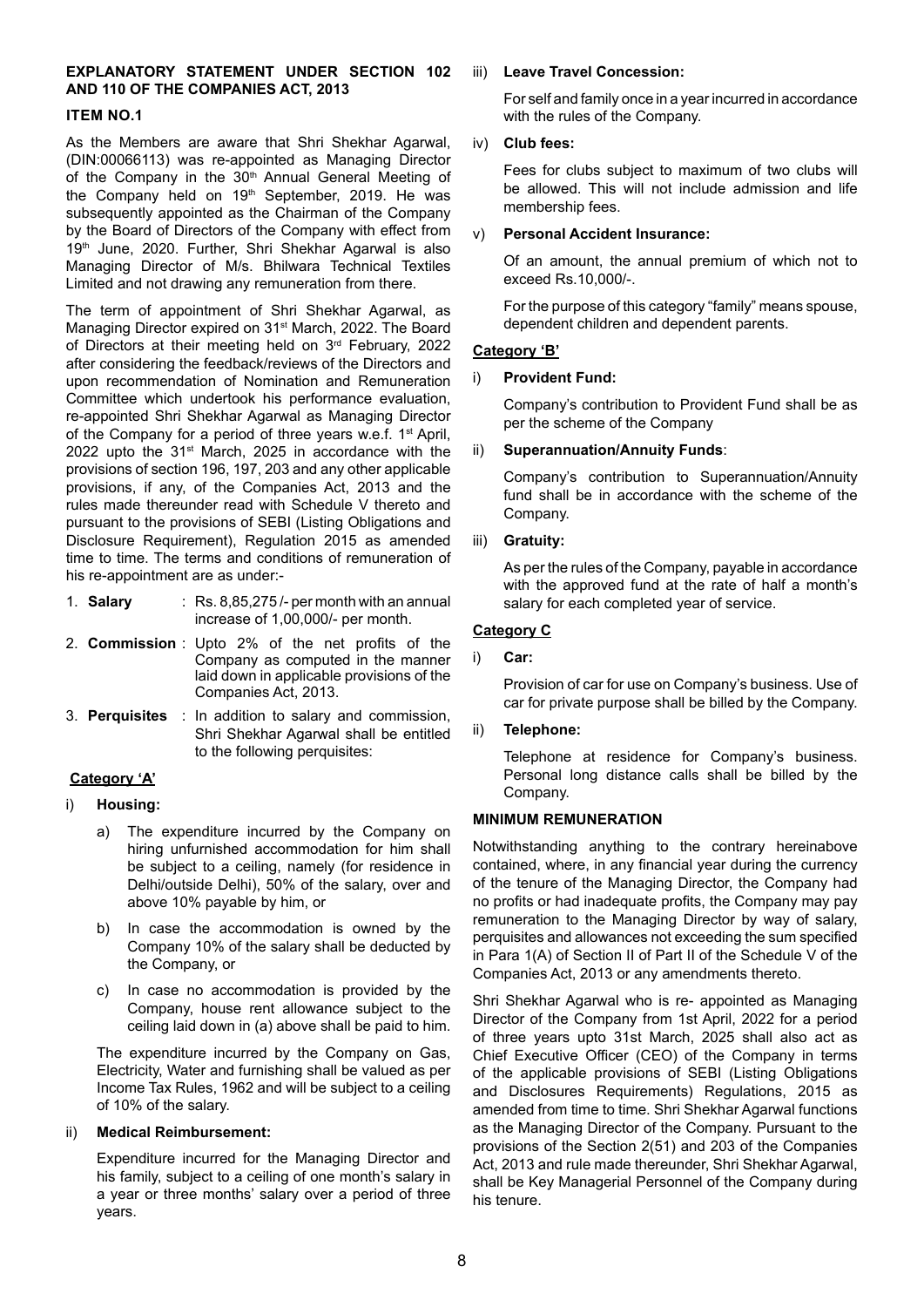#### **EXPLANATORY STATEMENT UNDER SECTION 102 AND 110 OF THE COMPANIES ACT, 2013**

#### **ITEM NO.1**

As the Members are aware that Shri Shekhar Agarwal, (DIN:00066113) was re-appointed as Managing Director of the Company in the 30<sup>th</sup> Annual General Meeting of the Company held on 19<sup>th</sup> September, 2019. He was subsequently appointed as the Chairman of the Company by the Board of Directors of the Company with effect from 19th June, 2020. Further, Shri Shekhar Agarwal is also Managing Director of M/s. Bhilwara Technical Textiles Limited and not drawing any remuneration from there.

The term of appointment of Shri Shekhar Agarwal, as Managing Director expired on 31<sup>st</sup> March, 2022. The Board of Directors at their meeting held on 3<sup>rd</sup> February, 2022 after considering the feedback/reviews of the Directors and upon recommendation of Nomination and Remuneration Committee which undertook his performance evaluation, re-appointed Shri Shekhar Agarwal as Managing Director of the Company for a period of three years w.e.f. 1<sup>st</sup> April, 2022 upto the 31<sup>st</sup> March, 2025 in accordance with the provisions of section 196, 197, 203 and any other applicable provisions, if any, of the Companies Act, 2013 and the rules made thereunder read with Schedule V thereto and pursuant to the provisions of SEBI (Listing Obligations and Disclosure Requirement), Regulation 2015 as amended time to time. The terms and conditions of remuneration of his re-appointment are as under:-

- 1. **Salary** : Rs. 8,85,275 /- per month with an annual increase of 1,00,000/- per month.
- 2. **Commission** : Upto 2% of the net profits of the Company as computed in the manner laid down in applicable provisions of the Companies Act, 2013.
- 3. **Perquisites** : In addition to salary and commission, Shri Shekhar Agarwal shall be entitled to the following perquisites:

# **Category 'A'**

- i) **Housing:** 
	- a) The expenditure incurred by the Company on hiring unfurnished accommodation for him shall be subject to a ceiling, namely (for residence in Delhi/outside Delhi), 50% of the salary, over and above 10% payable by him, or
	- b) In case the accommodation is owned by the Company 10% of the salary shall be deducted by the Company, or
	- c) In case no accommodation is provided by the Company, house rent allowance subject to the ceiling laid down in (a) above shall be paid to him.

The expenditure incurred by the Company on Gas, Electricity, Water and furnishing shall be valued as per Income Tax Rules, 1962 and will be subject to a ceiling of 10% of the salary.

#### ii) **Medical Reimbursement:**

Expenditure incurred for the Managing Director and his family, subject to a ceiling of one month's salary in a year or three months' salary over a period of three years.

#### iii) **Leave Travel Concession:**

For self and family once in a year incurred in accordance with the rules of the Company.

#### iv) **Club fees:**

Fees for clubs subject to maximum of two clubs will be allowed. This will not include admission and life membership fees.

#### v) **Personal Accident Insurance:**

Of an amount, the annual premium of which not to exceed Rs.10,000/-.

For the purpose of this category "family" means spouse, dependent children and dependent parents.

#### **Category 'B'**

#### i) **Provident Fund:**

Company's contribution to Provident Fund shall be as per the scheme of the Company

#### ii) **Superannuation/Annuity Funds**:

Company's contribution to Superannuation/Annuity fund shall be in accordance with the scheme of the Company.

#### iii) **Gratuity:**

As per the rules of the Company, payable in accordance with the approved fund at the rate of half a month's salary for each completed year of service.

#### **Category C**

i) **Car:**

Provision of car for use on Company's business. Use of car for private purpose shall be billed by the Company.

#### ii) **Telephone:**

Telephone at residence for Company's business. Personal long distance calls shall be billed by the Company.

#### **MINIMUM REMUNERATION**

Notwithstanding anything to the contrary hereinabove contained, where, in any financial year during the currency of the tenure of the Managing Director, the Company had no profits or had inadequate profits, the Company may pay remuneration to the Managing Director by way of salary, perquisites and allowances not exceeding the sum specified in Para 1(A) of Section II of Part II of the Schedule V of the Companies Act, 2013 or any amendments thereto.

Shri Shekhar Agarwal who is re- appointed as Managing Director of the Company from 1st April, 2022 for a period of three years upto 31st March, 2025 shall also act as Chief Executive Officer (CEO) of the Company in terms of the applicable provisions of SEBI (Listing Obligations and Disclosures Requirements) Regulations, 2015 as amended from time to time. Shri Shekhar Agarwal functions as the Managing Director of the Company. Pursuant to the provisions of the Section 2(51) and 203 of the Companies Act, 2013 and rule made thereunder, Shri Shekhar Agarwal, shall be Key Managerial Personnel of the Company during his tenure.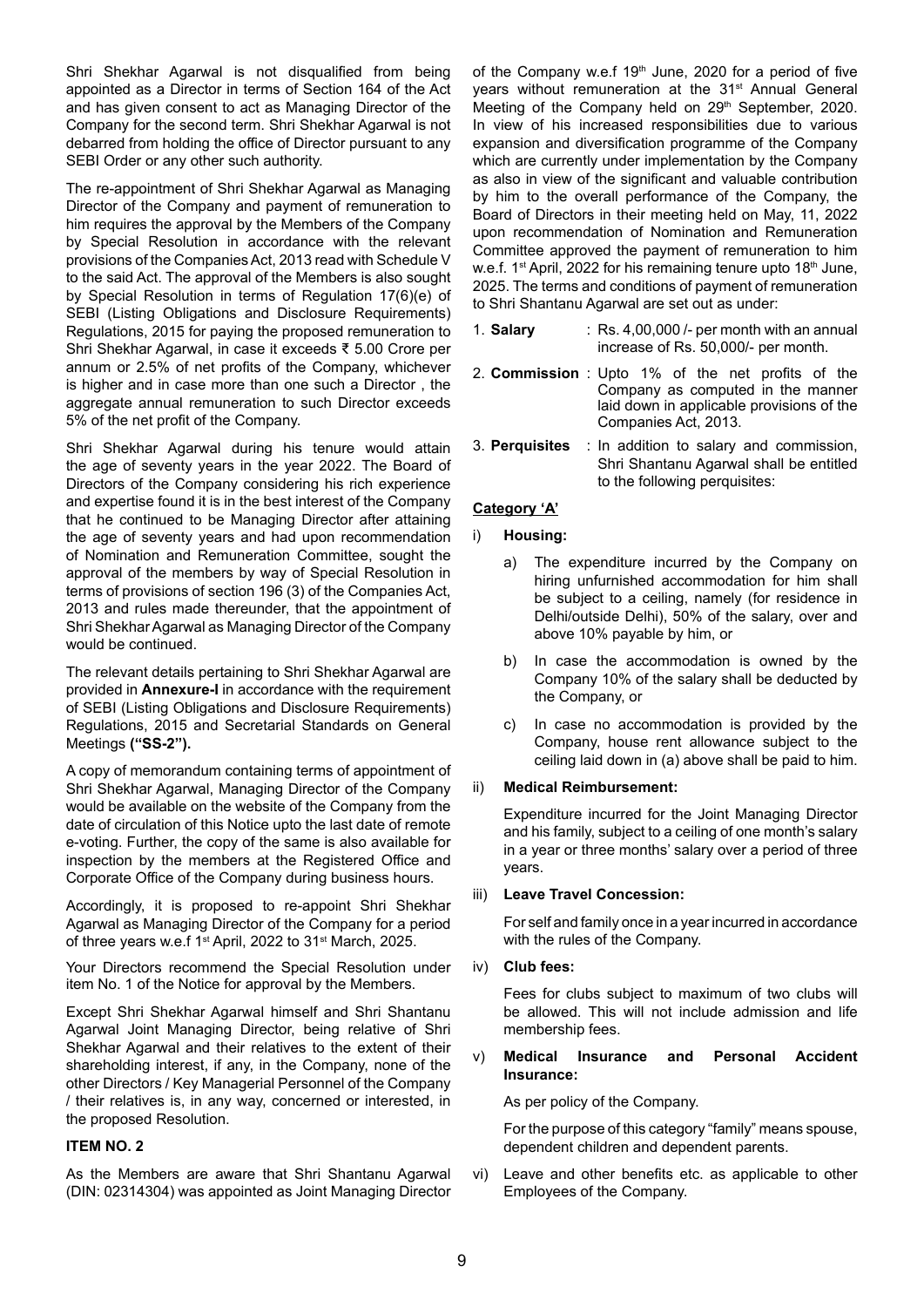Shri Shekhar Agarwal is not disqualified from being appointed as a Director in terms of Section 164 of the Act and has given consent to act as Managing Director of the Company for the second term. Shri Shekhar Agarwal is not debarred from holding the office of Director pursuant to any SEBI Order or any other such authority.

The re-appointment of Shri Shekhar Agarwal as Managing Director of the Company and payment of remuneration to him requires the approval by the Members of the Company by Special Resolution in accordance with the relevant provisions of the Companies Act, 2013 read with Schedule V to the said Act. The approval of the Members is also sought by Special Resolution in terms of Regulation 17(6)(e) of SEBI (Listing Obligations and Disclosure Requirements) Regulations, 2015 for paying the proposed remuneration to Shri Shekhar Agarwal, in case it exceeds ₹ 5.00 Crore per annum or 2.5% of net profits of the Company, whichever is higher and in case more than one such a Director , the aggregate annual remuneration to such Director exceeds 5% of the net profit of the Company.

Shri Shekhar Agarwal during his tenure would attain the age of seventy years in the year 2022. The Board of Directors of the Company considering his rich experience and expertise found it is in the best interest of the Company that he continued to be Managing Director after attaining the age of seventy years and had upon recommendation of Nomination and Remuneration Committee, sought the approval of the members by way of Special Resolution in terms of provisions of section 196 (3) of the Companies Act, 2013 and rules made thereunder, that the appointment of Shri Shekhar Agarwal as Managing Director of the Company would be continued.

The relevant details pertaining to Shri Shekhar Agarwal are provided in **Annexure-I** in accordance with the requirement of SEBI (Listing Obligations and Disclosure Requirements) Regulations, 2015 and Secretarial Standards on General Meetings **("SS-2").**

A copy of memorandum containing terms of appointment of Shri Shekhar Agarwal, Managing Director of the Company would be available on the website of the Company from the date of circulation of this Notice upto the last date of remote e-voting. Further, the copy of the same is also available for inspection by the members at the Registered Office and Corporate Office of the Company during business hours.

Accordingly, it is proposed to re-appoint Shri Shekhar Agarwal as Managing Director of the Company for a period of three years w.e.f 1<sup>st</sup> April, 2022 to 31<sup>st</sup> March, 2025.

Your Directors recommend the Special Resolution under item No. 1 of the Notice for approval by the Members.

Except Shri Shekhar Agarwal himself and Shri Shantanu Agarwal Joint Managing Director, being relative of Shri Shekhar Agarwal and their relatives to the extent of their shareholding interest, if any, in the Company, none of the other Directors / Key Managerial Personnel of the Company / their relatives is, in any way, concerned or interested, in the proposed Resolution.

#### **ITEM NO. 2**

As the Members are aware that Shri Shantanu Agarwal (DIN: 02314304) was appointed as Joint Managing Director of the Company w.e.f 19<sup>th</sup> June, 2020 for a period of five years without remuneration at the 31<sup>st</sup> Annual General Meeting of the Company held on 29<sup>th</sup> September, 2020. In view of his increased responsibilities due to various expansion and diversification programme of the Company which are currently under implementation by the Company as also in view of the significant and valuable contribution by him to the overall performance of the Company, the Board of Directors in their meeting held on May, 11, 2022 upon recommendation of Nomination and Remuneration Committee approved the payment of remuneration to him w.e.f. 1<sup>st</sup> April, 2022 for his remaining tenure upto 18<sup>th</sup> June, 2025. The terms and conditions of payment of remuneration to Shri Shantanu Agarwal are set out as under:

- 1. **Salary** : Rs. 4,00,000 /- per month with an annual increase of Rs. 50,000/- per month.
- 2. **Commission** : Upto 1% of the net profits of the Company as computed in the manner laid down in applicable provisions of the Companies Act, 2013.
- 3. **Perquisites** : In addition to salary and commission, Shri Shantanu Agarwal shall be entitled to the following perquisites:

### **Category 'A'**

- i) **Housing:** 
	- a) The expenditure incurred by the Company on hiring unfurnished accommodation for him shall be subject to a ceiling, namely (for residence in Delhi/outside Delhi), 50% of the salary, over and above 10% payable by him, or
	- b) In case the accommodation is owned by the Company 10% of the salary shall be deducted by the Company, or
	- c) In case no accommodation is provided by the Company, house rent allowance subject to the ceiling laid down in (a) above shall be paid to him.

#### ii) **Medical Reimbursement:**

Expenditure incurred for the Joint Managing Director and his family, subject to a ceiling of one month's salary in a year or three months' salary over a period of three years.

#### iii) **Leave Travel Concession:**

For self and family once in a year incurred in accordance with the rules of the Company.

#### iv) **Club fees:**

Fees for clubs subject to maximum of two clubs will be allowed. This will not include admission and life membership fees.

#### v) **Medical Insurance and Personal Accident Insurance:**

As per policy of the Company.

For the purpose of this category "family" means spouse, dependent children and dependent parents.

vi) Leave and other benefits etc. as applicable to other Employees of the Company.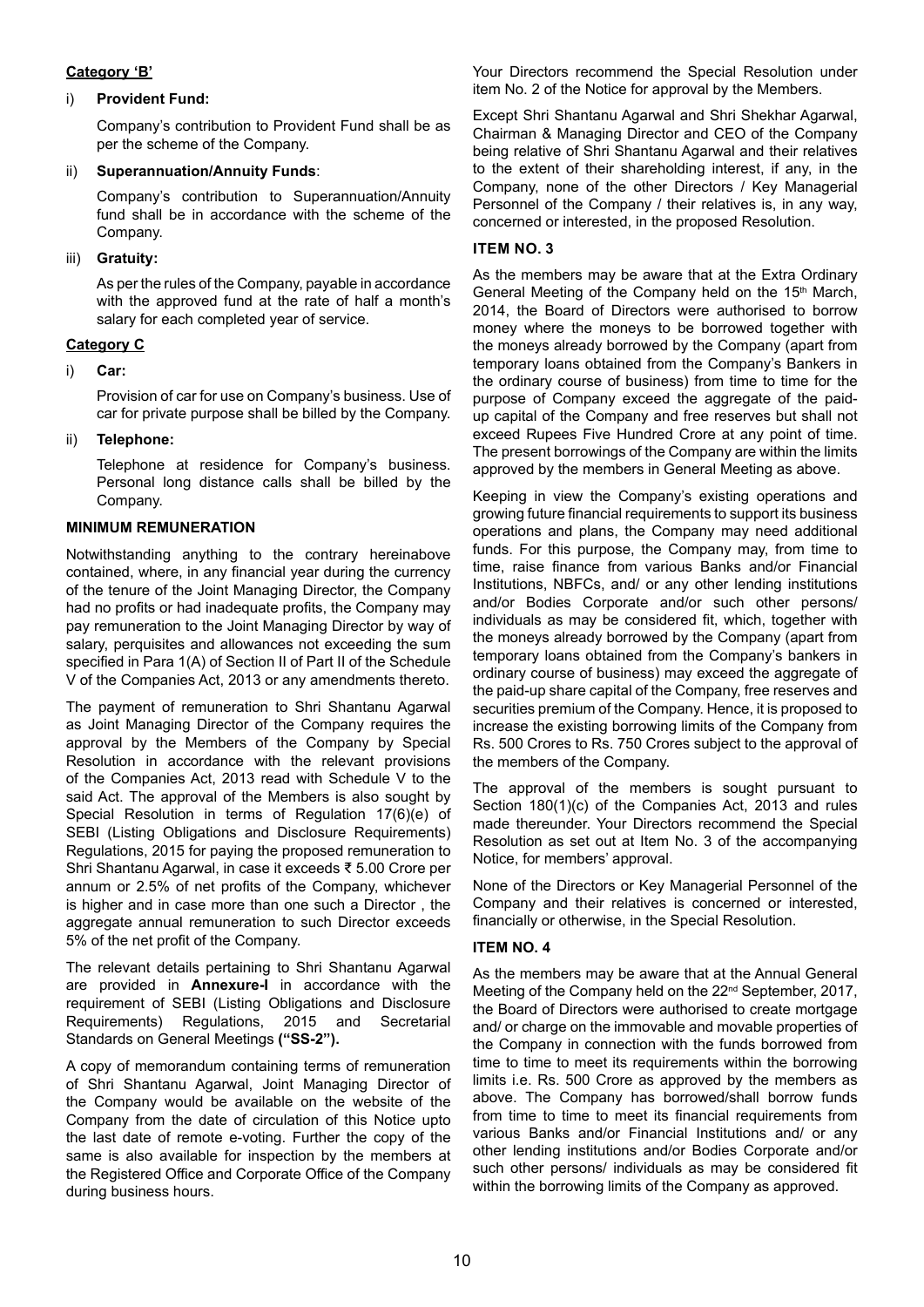### **Category 'B'**

#### i) **Provident Fund:**

Company's contribution to Provident Fund shall be as per the scheme of the Company.

### ii) **Superannuation/Annuity Funds**:

Company's contribution to Superannuation/Annuity fund shall be in accordance with the scheme of the Company.

## iii) **Gratuity:**

As per the rules of the Company, payable in accordance with the approved fund at the rate of half a month's salary for each completed year of service.

# **Category C**

i) **Car:**

Provision of car for use on Company's business. Use of car for private purpose shall be billed by the Company.

### ii) **Telephone:**

Telephone at residence for Company's business. Personal long distance calls shall be billed by the Company.

### **MINIMUM REMUNERATION**

Notwithstanding anything to the contrary hereinabove contained, where, in any financial year during the currency of the tenure of the Joint Managing Director, the Company had no profits or had inadequate profits, the Company may pay remuneration to the Joint Managing Director by way of salary, perquisites and allowances not exceeding the sum specified in Para 1(A) of Section II of Part II of the Schedule V of the Companies Act, 2013 or any amendments thereto.

The payment of remuneration to Shri Shantanu Agarwal as Joint Managing Director of the Company requires the approval by the Members of the Company by Special Resolution in accordance with the relevant provisions of the Companies Act, 2013 read with Schedule V to the said Act. The approval of the Members is also sought by Special Resolution in terms of Regulation 17(6)(e) of SEBI (Listing Obligations and Disclosure Requirements) Regulations, 2015 for paying the proposed remuneration to Shri Shantanu Agarwal, in case it exceeds ₹ 5.00 Crore per annum or 2.5% of net profits of the Company, whichever is higher and in case more than one such a Director , the aggregate annual remuneration to such Director exceeds 5% of the net profit of the Company.

The relevant details pertaining to Shri Shantanu Agarwal are provided in **Annexure-I** in accordance with the requirement of SEBI (Listing Obligations and Disclosure Requirements) Regulations, 2015 and Secretarial Standards on General Meetings **("SS-2").**

A copy of memorandum containing terms of remuneration of Shri Shantanu Agarwal, Joint Managing Director of the Company would be available on the website of the Company from the date of circulation of this Notice upto the last date of remote e-voting. Further the copy of the same is also available for inspection by the members at the Registered Office and Corporate Office of the Company during business hours.

Your Directors recommend the Special Resolution under item No. 2 of the Notice for approval by the Members.

Except Shri Shantanu Agarwal and Shri Shekhar Agarwal, Chairman & Managing Director and CEO of the Company being relative of Shri Shantanu Agarwal and their relatives to the extent of their shareholding interest, if any, in the Company, none of the other Directors / Key Managerial Personnel of the Company / their relatives is, in any way, concerned or interested, in the proposed Resolution.

# **Item no. 3**

As the members may be aware that at the Extra Ordinary General Meeting of the Company held on the 15<sup>th</sup> March, 2014, the Board of Directors were authorised to borrow money where the moneys to be borrowed together with the moneys already borrowed by the Company (apart from temporary loans obtained from the Company's Bankers in the ordinary course of business) from time to time for the purpose of Company exceed the aggregate of the paidup capital of the Company and free reserves but shall not exceed Rupees Five Hundred Crore at any point of time. The present borrowings of the Company are within the limits approved by the members in General Meeting as above.

Keeping in view the Company's existing operations and growing future financial requirements to support its business operations and plans, the Company may need additional funds. For this purpose, the Company may, from time to time, raise finance from various Banks and/or Financial Institutions, NBFCs, and/ or any other lending institutions and/or Bodies Corporate and/or such other persons/ individuals as may be considered fit, which, together with the moneys already borrowed by the Company (apart from temporary loans obtained from the Company's bankers in ordinary course of business) may exceed the aggregate of the paid-up share capital of the Company, free reserves and securities premium of the Company. Hence, it is proposed to increase the existing borrowing limits of the Company from Rs. 500 Crores to Rs. 750 Crores subject to the approval of the members of the Company.

The approval of the members is sought pursuant to Section 180(1)(c) of the Companies Act, 2013 and rules made thereunder. Your Directors recommend the Special Resolution as set out at Item No. 3 of the accompanying Notice, for members' approval.

None of the Directors or Key Managerial Personnel of the Company and their relatives is concerned or interested, financially or otherwise, in the Special Resolution.

# **ITEM NO. 4**

As the members may be aware that at the Annual General Meeting of the Company held on the 22<sup>nd</sup> September, 2017, the Board of Directors were authorised to create mortgage and/ or charge on the immovable and movable properties of the Company in connection with the funds borrowed from time to time to meet its requirements within the borrowing limits i.e. Rs. 500 Crore as approved by the members as above. The Company has borrowed/shall borrow funds from time to time to meet its financial requirements from various Banks and/or Financial Institutions and/ or any other lending institutions and/or Bodies Corporate and/or such other persons/ individuals as may be considered fit within the borrowing limits of the Company as approved.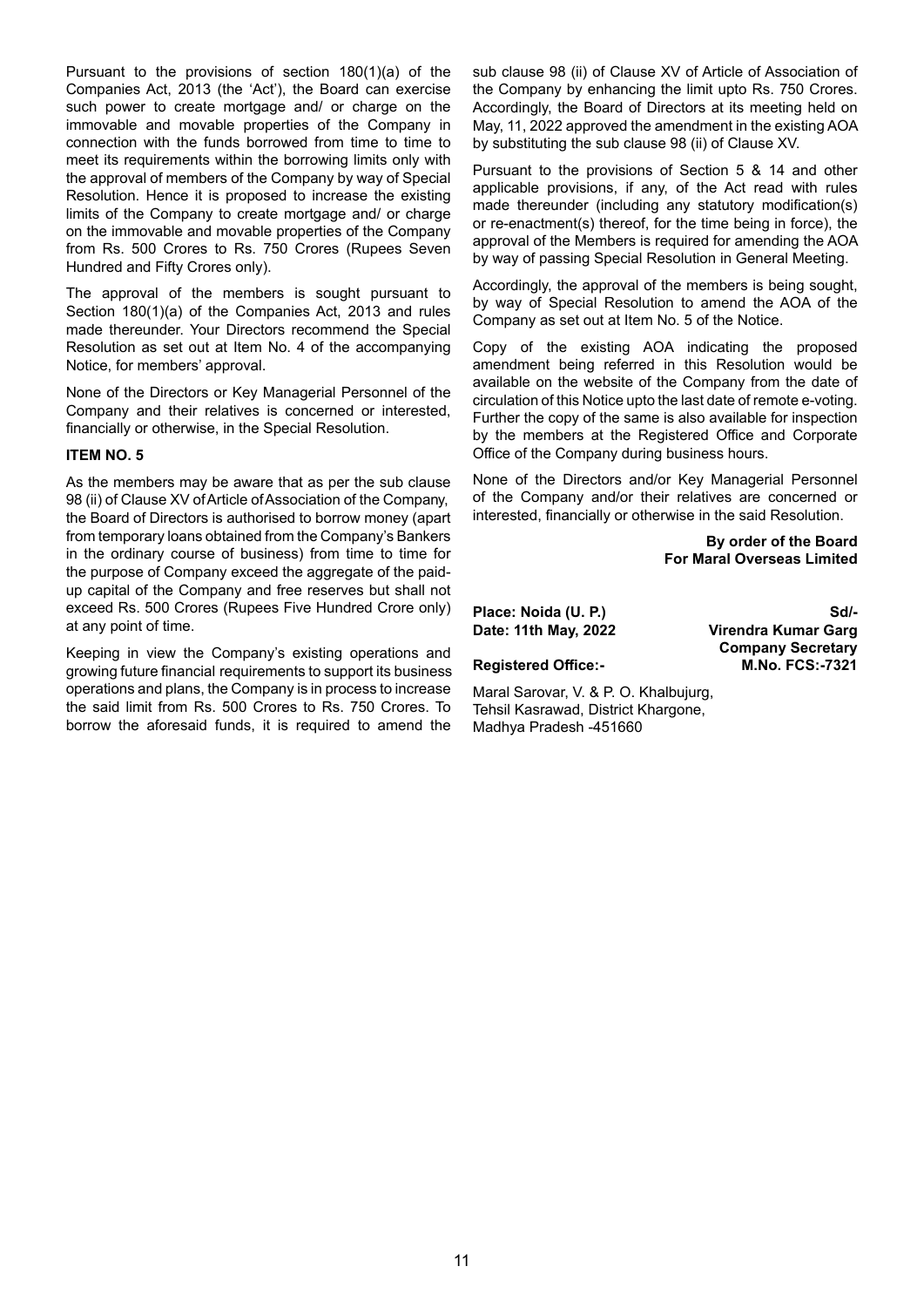Pursuant to the provisions of section 180(1)(a) of the Companies Act, 2013 (the 'Act'), the Board can exercise such power to create mortgage and/ or charge on the immovable and movable properties of the Company in connection with the funds borrowed from time to time to meet its requirements within the borrowing limits only with the approval of members of the Company by way of Special Resolution. Hence it is proposed to increase the existing limits of the Company to create mortgage and/ or charge on the immovable and movable properties of the Company from Rs. 500 Crores to Rs. 750 Crores (Rupees Seven Hundred and Fifty Crores only).

The approval of the members is sought pursuant to Section 180(1)(a) of the Companies Act, 2013 and rules made thereunder. Your Directors recommend the Special Resolution as set out at Item No. 4 of the accompanying Notice, for members' approval.

None of the Directors or Key Managerial Personnel of the Company and their relatives is concerned or interested, financially or otherwise, in the Special Resolution.

#### **ITEM NO. 5**

As the members may be aware that as per the sub clause 98 (ii) of Clause XV of Article of Association of the Company, the Board of Directors is authorised to borrow money (apart from temporary loans obtained from the Company's Bankers in the ordinary course of business) from time to time for the purpose of Company exceed the aggregate of the paidup capital of the Company and free reserves but shall not exceed Rs. 500 Crores (Rupees Five Hundred Crore only) at any point of time.

Keeping in view the Company's existing operations and growing future financial requirements to support its business operations and plans, the Company is in process to increase the said limit from Rs. 500 Crores to Rs. 750 Crores. To borrow the aforesaid funds, it is required to amend the

sub clause 98 (ii) of Clause XV of Article of Association of the Company by enhancing the limit upto Rs. 750 Crores. Accordingly, the Board of Directors at its meeting held on May, 11, 2022 approved the amendment in the existing AOA by substituting the sub clause 98 (ii) of Clause XV.

Pursuant to the provisions of Section 5 & 14 and other applicable provisions, if any, of the Act read with rules made thereunder (including any statutory modification(s) or re-enactment(s) thereof, for the time being in force), the approval of the Members is required for amending the AOA by way of passing Special Resolution in General Meeting.

Accordingly, the approval of the members is being sought, by way of Special Resolution to amend the AOA of the Company as set out at Item No. 5 of the Notice.

Copy of the existing AOA indicating the proposed amendment being referred in this Resolution would be available on the website of the Company from the date of circulation of this Notice upto the last date of remote e-voting. Further the copy of the same is also available for inspection by the members at the Registered Office and Corporate Office of the Company during business hours.

None of the Directors and/or Key Managerial Personnel of the Company and/or their relatives are concerned or interested, financially or otherwise in the said Resolution.

> **By order of the Board For Maral Overseas Limited**

**Place: Noida (U. P.) Sd/-** Sd/-

**Date: 11th May, 2022 Virendra Kumar Garg Company Secretary Registered Office:- M.No. FCS:-7321**

Maral Sarovar, V. & P. O. Khalbujurg, Tehsil Kasrawad, District Khargone, Madhya Pradesh -451660